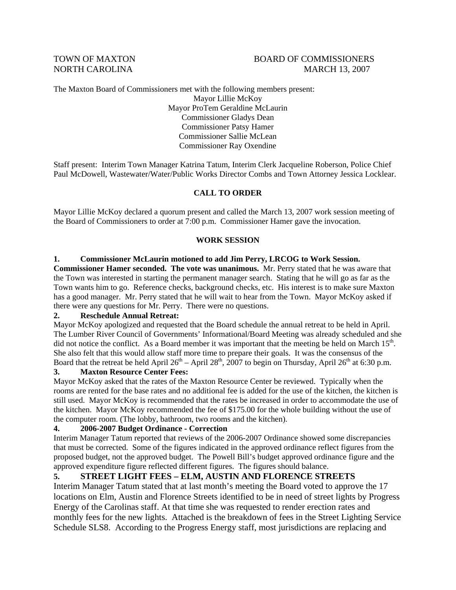#### TOWN OF MAXTON BOARD OF COMMISSIONERS NORTH CAROLINA MARCH 13, 2007

The Maxton Board of Commissioners met with the following members present:

Mayor Lillie McKoy Mayor ProTem Geraldine McLaurin Commissioner Gladys Dean Commissioner Patsy Hamer Commissioner Sallie McLean Commissioner Ray Oxendine

Staff present: Interim Town Manager Katrina Tatum, Interim Clerk Jacqueline Roberson, Police Chief Paul McDowell, Wastewater/Water/Public Works Director Combs and Town Attorney Jessica Locklear.

#### **CALL TO ORDER**

Mayor Lillie McKoy declared a quorum present and called the March 13, 2007 work session meeting of the Board of Commissioners to order at 7:00 p.m. Commissioner Hamer gave the invocation.

#### **WORK SESSION**

#### **1. Commissioner McLaurin motioned to add Jim Perry, LRCOG to Work Session.**

**Commissioner Hamer seconded. The vote was unanimous.** Mr. Perry stated that he was aware that the Town was interested in starting the permanent manager search. Stating that he will go as far as the Town wants him to go. Reference checks, background checks, etc. His interest is to make sure Maxton has a good manager. Mr. Perry stated that he will wait to hear from the Town. Mayor McKoy asked if there were any questions for Mr. Perry. There were no questions.

#### **2. Reschedule Annual Retreat:**

Mayor McKoy apologized and requested that the Board schedule the annual retreat to be held in April. The Lumber River Council of Governments' Informational/Board Meeting was already scheduled and she did not notice the conflict. As a Board member it was important that the meeting be held on March  $15<sup>th</sup>$ . She also felt that this would allow staff more time to prepare their goals. It was the consensus of the Board that the retreat be held April  $26^{th}$  – April  $28^{th}$ ,  $2007$  to begin on Thursday, April  $26^{th}$  at 6:30 p.m.

#### **3. Maxton Resource Center Fees:**

Mayor McKoy asked that the rates of the Maxton Resource Center be reviewed. Typically when the rooms are rented for the base rates and no additional fee is added for the use of the kitchen, the kitchen is still used. Mayor McKoy is recommended that the rates be increased in order to accommodate the use of the kitchen. Mayor McKoy recommended the fee of \$175.00 for the whole building without the use of the computer room. (The lobby, bathroom, two rooms and the kitchen).

#### **4. 2006-2007 Budget Ordinance - Correction**

Interim Manager Tatum reported that reviews of the 2006-2007 Ordinance showed some discrepancies that must be corrected. Some of the figures indicated in the approved ordinance reflect figures from the proposed budget, not the approved budget. The Powell Bill's budget approved ordinance figure and the approved expenditure figure reflected different figures. The figures should balance.

#### **5. STREET LIGHT FEES – ELM, AUSTIN AND FLORENCE STREETS**

Interim Manager Tatum stated that at last month's meeting the Board voted to approve the 17 locations on Elm, Austin and Florence Streets identified to be in need of street lights by Progress Energy of the Carolinas staff. At that time she was requested to render erection rates and monthly fees for the new lights. Attached is the breakdown of fees in the Street Lighting Service Schedule SLS8. According to the Progress Energy staff, most jurisdictions are replacing and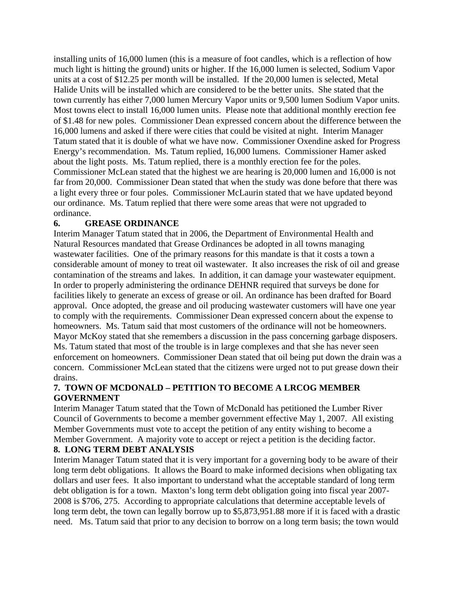installing units of 16,000 lumen (this is a measure of foot candles, which is a reflection of how much light is hitting the ground) units or higher. If the 16,000 lumen is selected, Sodium Vapor units at a cost of \$12.25 per month will be installed. If the 20,000 lumen is selected, Metal Halide Units will be installed which are considered to be the better units. She stated that the town currently has either 7,000 lumen Mercury Vapor units or 9,500 lumen Sodium Vapor units. Most towns elect to install 16,000 lumen units. Please note that additional monthly erection fee of \$1.48 for new poles. Commissioner Dean expressed concern about the difference between the 16,000 lumens and asked if there were cities that could be visited at night. Interim Manager Tatum stated that it is double of what we have now. Commissioner Oxendine asked for Progress Energy's recommendation. Ms. Tatum replied, 16,000 lumens. Commissioner Hamer asked about the light posts. Ms. Tatum replied, there is a monthly erection fee for the poles. Commissioner McLean stated that the highest we are hearing is 20,000 lumen and 16,000 is not far from 20,000. Commissioner Dean stated that when the study was done before that there was a light every three or four poles. Commissioner McLaurin stated that we have updated beyond our ordinance. Ms. Tatum replied that there were some areas that were not upgraded to ordinance.

#### **6. GREASE ORDINANCE**

Interim Manager Tatum stated that in 2006, the Department of Environmental Health and Natural Resources mandated that Grease Ordinances be adopted in all towns managing wastewater facilities. One of the primary reasons for this mandate is that it costs a town a considerable amount of money to treat oil wastewater. It also increases the risk of oil and grease contamination of the streams and lakes. In addition, it can damage your wastewater equipment. In order to properly administering the ordinance DEHNR required that surveys be done for facilities likely to generate an excess of grease or oil. An ordinance has been drafted for Board approval. Once adopted, the grease and oil producing wastewater customers will have one year to comply with the requirements. Commissioner Dean expressed concern about the expense to homeowners. Ms. Tatum said that most customers of the ordinance will not be homeowners. Mayor McKoy stated that she remembers a discussion in the pass concerning garbage disposers. Ms. Tatum stated that most of the trouble is in large complexes and that she has never seen enforcement on homeowners. Commissioner Dean stated that oil being put down the drain was a concern. Commissioner McLean stated that the citizens were urged not to put grease down their drains.

## **7. TOWN OF MCDONALD – PETITION TO BECOME A LRCOG MEMBER GOVERNMENT**

Interim Manager Tatum stated that the Town of McDonald has petitioned the Lumber River Council of Governments to become a member government effective May 1, 2007. All existing Member Governments must vote to accept the petition of any entity wishing to become a Member Government. A majority vote to accept or reject a petition is the deciding factor.

#### **8. LONG TERM DEBT ANALYSIS**

Interim Manager Tatum stated that it is very important for a governing body to be aware of their long term debt obligations. It allows the Board to make informed decisions when obligating tax dollars and user fees. It also important to understand what the acceptable standard of long term debt obligation is for a town. Maxton's long term debt obligation going into fiscal year 2007- 2008 is \$706, 275. According to appropriate calculations that determine acceptable levels of long term debt, the town can legally borrow up to \$5,873,951.88 more if it is faced with a drastic need. Ms. Tatum said that prior to any decision to borrow on a long term basis; the town would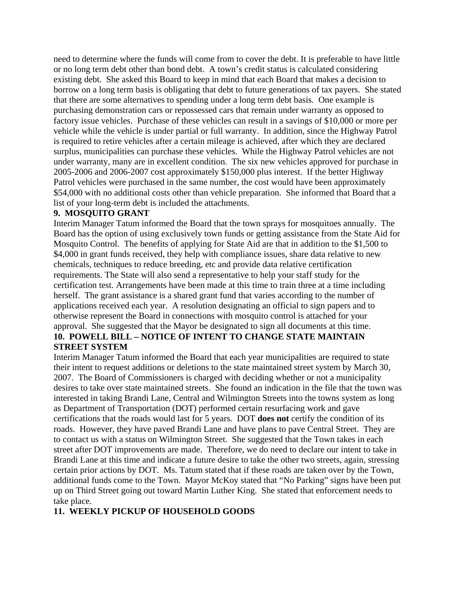need to determine where the funds will come from to cover the debt. It is preferable to have little or no long term debt other than bond debt. A town's credit status is calculated considering existing debt. She asked this Board to keep in mind that each Board that makes a decision to borrow on a long term basis is obligating that debt to future generations of tax payers. She stated that there are some alternatives to spending under a long term debt basis. One example is purchasing demonstration cars or repossessed cars that remain under warranty as opposed to factory issue vehicles. Purchase of these vehicles can result in a savings of \$10,000 or more per vehicle while the vehicle is under partial or full warranty. In addition, since the Highway Patrol is required to retire vehicles after a certain mileage is achieved, after which they are declared surplus, municipalities can purchase these vehicles. While the Highway Patrol vehicles are not under warranty, many are in excellent condition. The six new vehicles approved for purchase in 2005-2006 and 2006-2007 cost approximately \$150,000 plus interest. If the better Highway Patrol vehicles were purchased in the same number, the cost would have been approximately \$54,000 with no additional costs other than vehicle preparation. She informed that Board that a list of your long-term debt is included the attachments.

#### **9. MOSQUITO GRANT**

Interim Manager Tatum informed the Board that the town sprays for mosquitoes annually. The Board has the option of using exclusively town funds or getting assistance from the State Aid for Mosquito Control. The benefits of applying for State Aid are that in addition to the \$1,500 to \$4,000 in grant funds received, they help with compliance issues, share data relative to new chemicals, techniques to reduce breeding, etc and provide data relative certification requirements. The State will also send a representative to help your staff study for the certification test. Arrangements have been made at this time to train three at a time including herself. The grant assistance is a shared grant fund that varies according to the number of applications received each year. A resolution designating an official to sign papers and to otherwise represent the Board in connections with mosquito control is attached for your approval. She suggested that the Mayor be designated to sign all documents at this time.

## **10. POWELL BILL – NOTICE OF INTENT TO CHANGE STATE MAINTAIN STREET SYSTEM**

Interim Manager Tatum informed the Board that each year municipalities are required to state their intent to request additions or deletions to the state maintained street system by March 30, 2007. The Board of Commissioners is charged with deciding whether or not a municipality desires to take over state maintained streets. She found an indication in the file that the town was interested in taking Brandi Lane, Central and Wilmington Streets into the towns system as long as Department of Transportation (DOT) performed certain resurfacing work and gave certifications that the roads would last for 5 years. DOT **does not** certify the condition of its roads. However, they have paved Brandi Lane and have plans to pave Central Street. They are to contact us with a status on Wilmington Street. She suggested that the Town takes in each street after DOT improvements are made. Therefore, we do need to declare our intent to take in Brandi Lane at this time and indicate a future desire to take the other two streets, again, stressing certain prior actions by DOT. Ms. Tatum stated that if these roads are taken over by the Town, additional funds come to the Town. Mayor McKoy stated that "No Parking" signs have been put up on Third Street going out toward Martin Luther King. She stated that enforcement needs to take place.

## **11. WEEKLY PICKUP OF HOUSEHOLD GOODS**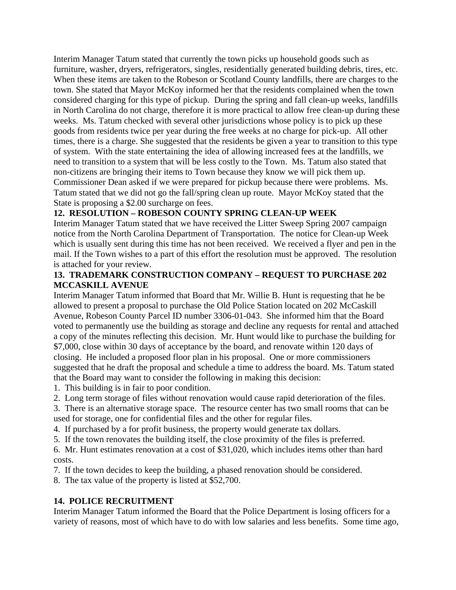Interim Manager Tatum stated that currently the town picks up household goods such as furniture, washer, dryers, refrigerators, singles, residentially generated building debris, tires, etc. When these items are taken to the Robeson or Scotland County landfills, there are charges to the town. She stated that Mayor McKoy informed her that the residents complained when the town considered charging for this type of pickup. During the spring and fall clean-up weeks, landfills in North Carolina do not charge, therefore it is more practical to allow free clean-up during these weeks. Ms. Tatum checked with several other jurisdictions whose policy is to pick up these goods from residents twice per year during the free weeks at no charge for pick-up. All other times, there is a charge. She suggested that the residents be given a year to transition to this type of system. With the state entertaining the idea of allowing increased fees at the landfills, we need to transition to a system that will be less costly to the Town. Ms. Tatum also stated that non-citizens are bringing their items to Town because they know we will pick them up. Commissioner Dean asked if we were prepared for pickup because there were problems. Ms. Tatum stated that we did not go the fall/spring clean up route. Mayor McKoy stated that the State is proposing a \$2.00 surcharge on fees.

## **12. RESOLUTION – ROBESON COUNTY SPRING CLEAN-UP WEEK**

Interim Manager Tatum stated that we have received the Litter Sweep Spring 2007 campaign notice from the North Carolina Department of Transportation. The notice for Clean-up Week which is usually sent during this time has not been received. We received a flyer and pen in the mail. If the Town wishes to a part of this effort the resolution must be approved. The resolution is attached for your review.

## **13. TRADEMARK CONSTRUCTION COMPANY – REQUEST TO PURCHASE 202 MCCASKILL AVENUE**

Interim Manager Tatum informed that Board that Mr. Willie B. Hunt is requesting that he be allowed to present a proposal to purchase the Old Police Station located on 202 McCaskill Avenue, Robeson County Parcel ID number 3306-01-043. She informed him that the Board voted to permanently use the building as storage and decline any requests for rental and attached a copy of the minutes reflecting this decision. Mr. Hunt would like to purchase the building for \$7,000, close within 30 days of acceptance by the board, and renovate within 120 days of closing. He included a proposed floor plan in his proposal. One or more commissioners suggested that he draft the proposal and schedule a time to address the board. Ms. Tatum stated that the Board may want to consider the following in making this decision:

- 1. This building is in fair to poor condition.
- 2. Long term storage of files without renovation would cause rapid deterioration of the files.
- 3. There is an alternative storage space. The resource center has two small rooms that can be used for storage, one for confidential files and the other for regular files.
- 4. If purchased by a for profit business, the property would generate tax dollars.
- 5. If the town renovates the building itself, the close proximity of the files is preferred.

6. Mr. Hunt estimates renovation at a cost of \$31,020, which includes items other than hard costs.

7. If the town decides to keep the building, a phased renovation should be considered.

8. The tax value of the property is listed at \$52,700.

## **14. POLICE RECRUITMENT**

Interim Manager Tatum informed the Board that the Police Department is losing officers for a variety of reasons, most of which have to do with low salaries and less benefits. Some time ago,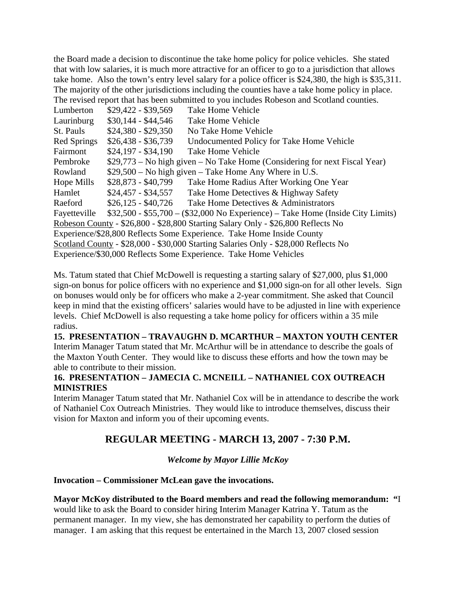the Board made a decision to discontinue the take home policy for police vehicles. She stated that with low salaries, it is much more attractive for an officer to go to a jurisdiction that allows take home. Also the town's entry level salary for a police officer is \$24,380, the high is \$35,311. The majority of the other jurisdictions including the counties have a take home policy in place. The revised report that has been submitted to you includes Robeson and Scotland counties.

| The Tevnou report that has been submitted to you meriddes reoccion and securities.  |                     |                                                                               |
|-------------------------------------------------------------------------------------|---------------------|-------------------------------------------------------------------------------|
| Lumberton                                                                           | $$29,422 - $39,569$ | Take Home Vehicle                                                             |
| Laurinburg                                                                          | $$30,144 - $44,546$ | Take Home Vehicle                                                             |
| St. Pauls                                                                           | $$24,380 - $29,350$ | No Take Home Vehicle                                                          |
| <b>Red Springs</b>                                                                  | $$26,438 - $36,739$ | Undocumented Policy for Take Home Vehicle                                     |
| Fairmont                                                                            | $$24,197 - $34,190$ | Take Home Vehicle                                                             |
| Pembroke                                                                            |                     | $$29,773$ – No high given – No Take Home (Considering for next Fiscal Year)   |
| Rowland                                                                             |                     | $$29,500 - No$ high given - Take Home Any Where in U.S.                       |
| Hope Mills                                                                          | $$28,873 - $40,799$ | Take Home Radius After Working One Year                                       |
| Hamlet                                                                              | $$24,457 - $34,557$ | Take Home Detectives & Highway Safety                                         |
| Raeford                                                                             | $$26,125 - $40,726$ | Take Home Detectives & Administrators                                         |
| Fayetteville                                                                        |                     | $$32,500 - $55,700 - $32,000$ No Experience) – Take Home (Inside City Limits) |
| Robeson County - \$26,800 - \$28,800 Starting Salary Only - \$26,800 Reflects No    |                     |                                                                               |
| Experience/\$28,800 Reflects Some Experience. Take Home Inside County               |                     |                                                                               |
| Scotland County - \$28,000 - \$30,000 Starting Salaries Only - \$28,000 Reflects No |                     |                                                                               |
| Experience/\$30,000 Reflects Some Experience. Take Home Vehicles                    |                     |                                                                               |

Ms. Tatum stated that Chief McDowell is requesting a starting salary of \$27,000, plus \$1,000 sign-on bonus for police officers with no experience and \$1,000 sign-on for all other levels. Sign on bonuses would only be for officers who make a 2-year commitment. She asked that Council keep in mind that the existing officers' salaries would have to be adjusted in line with experience levels. Chief McDowell is also requesting a take home policy for officers within a 35 mile radius.

## **15. PRESENTATION – TRAVAUGHN D. MCARTHUR – MAXTON YOUTH CENTER**  Interim Manager Tatum stated that Mr. McArthur will be in attendance to describe the goals of the Maxton Youth Center. They would like to discuss these efforts and how the town may be able to contribute to their mission.

## **16. PRESENTATION – JAMECIA C. MCNEILL – NATHANIEL COX OUTREACH MINISTRIES**

Interim Manager Tatum stated that Mr. Nathaniel Cox will be in attendance to describe the work of Nathaniel Cox Outreach Ministries. They would like to introduce themselves, discuss their vision for Maxton and inform you of their upcoming events.

# **REGULAR MEETING - MARCH 13, 2007 - 7:30 P.M.**

## *Welcome by Mayor Lillie McKoy*

## **Invocation – Commissioner McLean gave the invocations.**

## **Mayor McKoy distributed to the Board members and read the following memorandum: "**I

would like to ask the Board to consider hiring Interim Manager Katrina Y. Tatum as the permanent manager. In my view, she has demonstrated her capability to perform the duties of manager. I am asking that this request be entertained in the March 13, 2007 closed session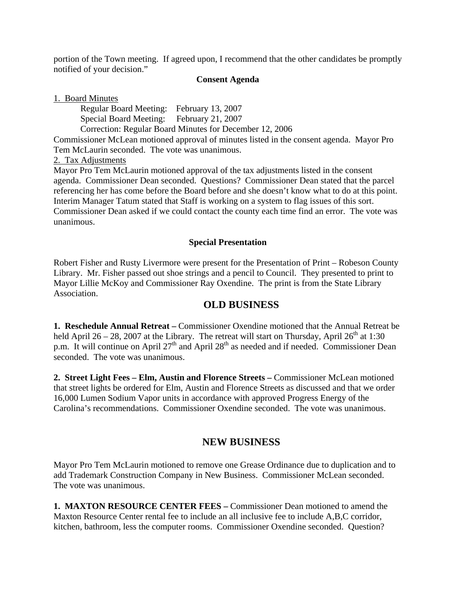portion of the Town meeting. If agreed upon, I recommend that the other candidates be promptly notified of your decision."

#### **Consent Agenda**

1. Board Minutes

Regular Board Meeting: February 13, 2007 Special Board Meeting: February 21, 2007 Correction: Regular Board Minutes for December 12, 2006

Commissioner McLean motioned approval of minutes listed in the consent agenda. Mayor Pro Tem McLaurin seconded. The vote was unanimous.

#### 2. Tax Adjustments

Mayor Pro Tem McLaurin motioned approval of the tax adjustments listed in the consent agenda. Commissioner Dean seconded. Questions? Commissioner Dean stated that the parcel referencing her has come before the Board before and she doesn't know what to do at this point. Interim Manager Tatum stated that Staff is working on a system to flag issues of this sort. Commissioner Dean asked if we could contact the county each time find an error. The vote was unanimous.

#### **Special Presentation**

Robert Fisher and Rusty Livermore were present for the Presentation of Print – Robeson County Library. Mr. Fisher passed out shoe strings and a pencil to Council. They presented to print to Mayor Lillie McKoy and Commissioner Ray Oxendine. The print is from the State Library Association.

## **OLD BUSINESS**

**1. Reschedule Annual Retreat –** Commissioner Oxendine motioned that the Annual Retreat be held April 26 – 28, 2007 at the Library. The retreat will start on Thursday, April  $26<sup>th</sup>$  at 1:30 p.m. It will continue on April  $27<sup>th</sup>$  and April  $28<sup>th</sup>$  as needed and if needed. Commissioner Dean seconded. The vote was unanimous.

**2. Street Light Fees – Elm, Austin and Florence Streets –** Commissioner McLean motioned that street lights be ordered for Elm, Austin and Florence Streets as discussed and that we order 16,000 Lumen Sodium Vapor units in accordance with approved Progress Energy of the Carolina's recommendations. Commissioner Oxendine seconded. The vote was unanimous.

# **NEW BUSINESS**

Mayor Pro Tem McLaurin motioned to remove one Grease Ordinance due to duplication and to add Trademark Construction Company in New Business. Commissioner McLean seconded. The vote was unanimous.

**1. MAXTON RESOURCE CENTER FEES –** Commissioner Dean motioned to amend the Maxton Resource Center rental fee to include an all inclusive fee to include A,B,C corridor, kitchen, bathroom, less the computer rooms. Commissioner Oxendine seconded. Question?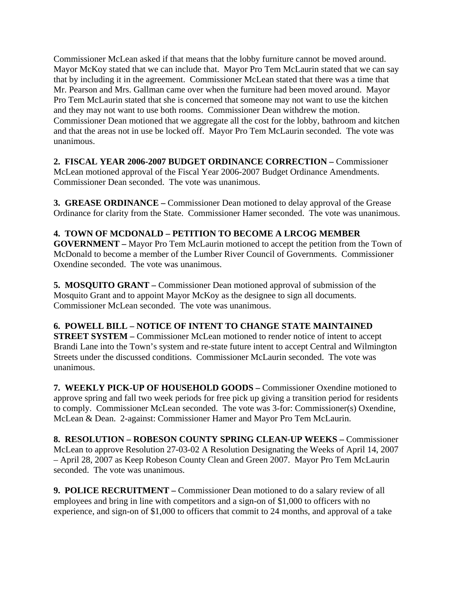Commissioner McLean asked if that means that the lobby furniture cannot be moved around. Mayor McKoy stated that we can include that. Mayor Pro Tem McLaurin stated that we can say that by including it in the agreement. Commissioner McLean stated that there was a time that Mr. Pearson and Mrs. Gallman came over when the furniture had been moved around. Mayor Pro Tem McLaurin stated that she is concerned that someone may not want to use the kitchen and they may not want to use both rooms. Commissioner Dean withdrew the motion. Commissioner Dean motioned that we aggregate all the cost for the lobby, bathroom and kitchen and that the areas not in use be locked off. Mayor Pro Tem McLaurin seconded. The vote was unanimous.

**2. FISCAL YEAR 2006-2007 BUDGET ORDINANCE CORRECTION –** Commissioner McLean motioned approval of the Fiscal Year 2006-2007 Budget Ordinance Amendments. Commissioner Dean seconded. The vote was unanimous.

**3. GREASE ORDINANCE –** Commissioner Dean motioned to delay approval of the Grease Ordinance for clarity from the State. Commissioner Hamer seconded. The vote was unanimous.

**4. TOWN OF MCDONALD – PETITION TO BECOME A LRCOG MEMBER GOVERNMENT –** Mayor Pro Tem McLaurin motioned to accept the petition from the Town of McDonald to become a member of the Lumber River Council of Governments. Commissioner Oxendine seconded. The vote was unanimous.

**5. MOSQUITO GRANT –** Commissioner Dean motioned approval of submission of the Mosquito Grant and to appoint Mayor McKoy as the designee to sign all documents. Commissioner McLean seconded. The vote was unanimous.

## **6. POWELL BILL – NOTICE OF INTENT TO CHANGE STATE MAINTAINED**

**STREET SYSTEM** – Commissioner McLean motioned to render notice of intent to accept Brandi Lane into the Town's system and re-state future intent to accept Central and Wilmington Streets under the discussed conditions. Commissioner McLaurin seconded. The vote was unanimous.

**7. WEEKLY PICK-UP OF HOUSEHOLD GOODS –** Commissioner Oxendine motioned to approve spring and fall two week periods for free pick up giving a transition period for residents to comply. Commissioner McLean seconded. The vote was 3-for: Commissioner(s) Oxendine, McLean & Dean. 2-against: Commissioner Hamer and Mayor Pro Tem McLaurin.

**8. RESOLUTION – ROBESON COUNTY SPRING CLEAN-UP WEEKS –** Commissioner McLean to approve Resolution 27-03-02 A Resolution Designating the Weeks of April 14, 2007 – April 28, 2007 as Keep Robeson County Clean and Green 2007. Mayor Pro Tem McLaurin seconded. The vote was unanimous.

**9. POLICE RECRUITMENT –** Commissioner Dean motioned to do a salary review of all employees and bring in line with competitors and a sign-on of \$1,000 to officers with no experience, and sign-on of \$1,000 to officers that commit to 24 months, and approval of a take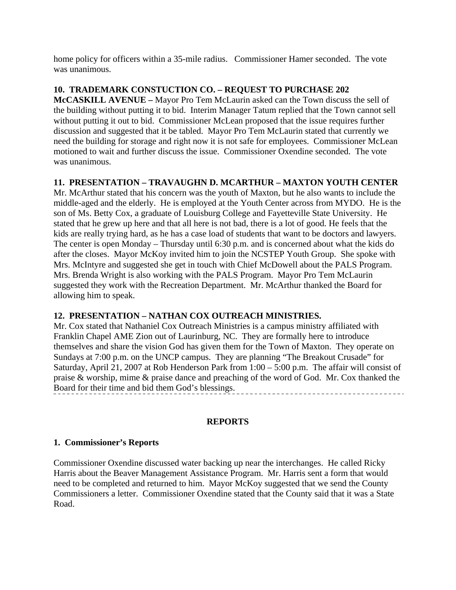home policy for officers within a 35-mile radius. Commissioner Hamer seconded. The vote was unanimous.

## **10. TRADEMARK CONSTUCTION CO. – REQUEST TO PURCHASE 202**

**McCASKILL AVENUE –** Mayor Pro Tem McLaurin asked can the Town discuss the sell of the building without putting it to bid. Interim Manager Tatum replied that the Town cannot sell without putting it out to bid. Commissioner McLean proposed that the issue requires further discussion and suggested that it be tabled. Mayor Pro Tem McLaurin stated that currently we need the building for storage and right now it is not safe for employees. Commissioner McLean motioned to wait and further discuss the issue. Commissioner Oxendine seconded. The vote was unanimous.

## **11. PRESENTATION – TRAVAUGHN D. MCARTHUR – MAXTON YOUTH CENTER**

Mr. McArthur stated that his concern was the youth of Maxton, but he also wants to include the middle-aged and the elderly. He is employed at the Youth Center across from MYDO. He is the son of Ms. Betty Cox, a graduate of Louisburg College and Fayetteville State University. He stated that he grew up here and that all here is not bad, there is a lot of good. He feels that the kids are really trying hard, as he has a case load of students that want to be doctors and lawyers. The center is open Monday – Thursday until 6:30 p.m. and is concerned about what the kids do after the closes. Mayor McKoy invited him to join the NCSTEP Youth Group. She spoke with Mrs. McIntyre and suggested she get in touch with Chief McDowell about the PALS Program. Mrs. Brenda Wright is also working with the PALS Program. Mayor Pro Tem McLaurin suggested they work with the Recreation Department. Mr. McArthur thanked the Board for allowing him to speak.

## **12. PRESENTATION – NATHAN COX OUTREACH MINISTRIES.**

Mr. Cox stated that Nathaniel Cox Outreach Ministries is a campus ministry affiliated with Franklin Chapel AME Zion out of Laurinburg, NC. They are formally here to introduce themselves and share the vision God has given them for the Town of Maxton. They operate on Sundays at 7:00 p.m. on the UNCP campus. They are planning "The Breakout Crusade" for Saturday, April 21, 2007 at Rob Henderson Park from 1:00 – 5:00 p.m. The affair will consist of praise & worship, mime & praise dance and preaching of the word of God. Mr. Cox thanked the Board for their time and bid them God's blessings. --------------------------------------

## **REPORTS**

#### **1. Commissioner's Reports**

Commissioner Oxendine discussed water backing up near the interchanges. He called Ricky Harris about the Beaver Management Assistance Program. Mr. Harris sent a form that would need to be completed and returned to him. Mayor McKoy suggested that we send the County Commissioners a letter. Commissioner Oxendine stated that the County said that it was a State Road.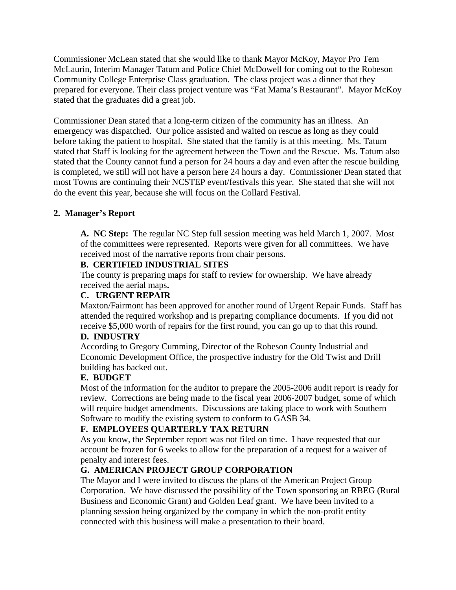Commissioner McLean stated that she would like to thank Mayor McKoy, Mayor Pro Tem McLaurin, Interim Manager Tatum and Police Chief McDowell for coming out to the Robeson Community College Enterprise Class graduation. The class project was a dinner that they prepared for everyone. Their class project venture was "Fat Mama's Restaurant". Mayor McKoy stated that the graduates did a great job.

Commissioner Dean stated that a long-term citizen of the community has an illness. An emergency was dispatched. Our police assisted and waited on rescue as long as they could before taking the patient to hospital. She stated that the family is at this meeting. Ms. Tatum stated that Staff is looking for the agreement between the Town and the Rescue. Ms. Tatum also stated that the County cannot fund a person for 24 hours a day and even after the rescue building is completed, we still will not have a person here 24 hours a day. Commissioner Dean stated that most Towns are continuing their NCSTEP event/festivals this year. She stated that she will not do the event this year, because she will focus on the Collard Festival.

## **2. Manager's Report**

**A. NC Step:** The regular NC Step full session meeting was held March 1, 2007. Most of the committees were represented. Reports were given for all committees. We have received most of the narrative reports from chair persons.

#### **B. CERTIFIED INDUSTRIAL SITES**

The county is preparing maps for staff to review for ownership. We have already received the aerial maps**.** 

## **C. URGENT REPAIR**

Maxton/Fairmont has been approved for another round of Urgent Repair Funds. Staff has attended the required workshop and is preparing compliance documents. If you did not receive \$5,000 worth of repairs for the first round, you can go up to that this round.

## **D. INDUSTRY**

According to Gregory Cumming, Director of the Robeson County Industrial and Economic Development Office, the prospective industry for the Old Twist and Drill building has backed out.

## **E. BUDGET**

Most of the information for the auditor to prepare the 2005-2006 audit report is ready for review. Corrections are being made to the fiscal year 2006-2007 budget, some of which will require budget amendments. Discussions are taking place to work with Southern Software to modify the existing system to conform to GASB 34.

## **F. EMPLOYEES QUARTERLY TAX RETURN**

As you know, the September report was not filed on time. I have requested that our account be frozen for 6 weeks to allow for the preparation of a request for a waiver of penalty and interest fees.

## **G. AMERICAN PROJECT GROUP CORPORATION**

The Mayor and I were invited to discuss the plans of the American Project Group Corporation. We have discussed the possibility of the Town sponsoring an RBEG (Rural Business and Economic Grant) and Golden Leaf grant. We have been invited to a planning session being organized by the company in which the non-profit entity connected with this business will make a presentation to their board.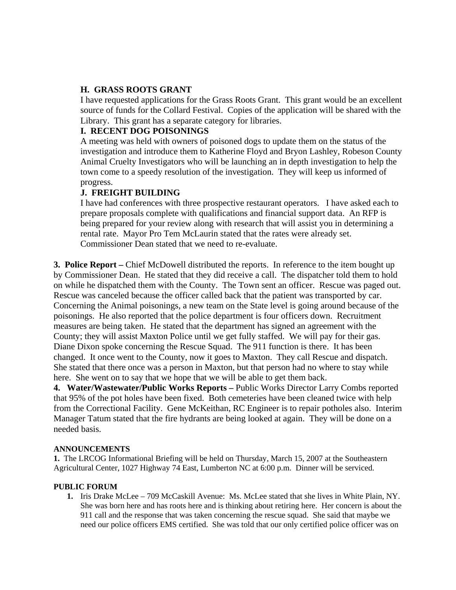## **H. GRASS ROOTS GRANT**

I have requested applications for the Grass Roots Grant. This grant would be an excellent source of funds for the Collard Festival. Copies of the application will be shared with the Library. This grant has a separate category for libraries.

#### **I. RECENT DOG POISONINGS**

A meeting was held with owners of poisoned dogs to update them on the status of the investigation and introduce them to Katherine Floyd and Bryon Lashley, Robeson County Animal Cruelty Investigators who will be launching an in depth investigation to help the town come to a speedy resolution of the investigation. They will keep us informed of progress.

## **J. FREIGHT BUILDING**

I have had conferences with three prospective restaurant operators. I have asked each to prepare proposals complete with qualifications and financial support data. An RFP is being prepared for your review along with research that will assist you in determining a rental rate. Mayor Pro Tem McLaurin stated that the rates were already set. Commissioner Dean stated that we need to re-evaluate.

**3. Police Report** – Chief McDowell distributed the reports. In reference to the item bought up by Commissioner Dean. He stated that they did receive a call. The dispatcher told them to hold on while he dispatched them with the County. The Town sent an officer. Rescue was paged out. Rescue was canceled because the officer called back that the patient was transported by car. Concerning the Animal poisonings, a new team on the State level is going around because of the poisonings. He also reported that the police department is four officers down. Recruitment measures are being taken. He stated that the department has signed an agreement with the County; they will assist Maxton Police until we get fully staffed. We will pay for their gas. Diane Dixon spoke concerning the Rescue Squad. The 911 function is there. It has been changed. It once went to the County, now it goes to Maxton. They call Rescue and dispatch. She stated that there once was a person in Maxton, but that person had no where to stay while here. She went on to say that we hope that we will be able to get them back.

**4. Water/Wastewater/Public Works Reports –** Public Works Director Larry Combs reported that 95% of the pot holes have been fixed. Both cemeteries have been cleaned twice with help from the Correctional Facility. Gene McKeithan, RC Engineer is to repair potholes also. Interim Manager Tatum stated that the fire hydrants are being looked at again. They will be done on a needed basis.

#### **ANNOUNCEMENTS**

**1.** The LRCOG Informational Briefing will be held on Thursday, March 15, 2007 at the Southeastern Agricultural Center, 1027 Highway 74 East, Lumberton NC at 6:00 p.m. Dinner will be serviced.

#### **PUBLIC FORUM**

**1.** Iris Drake McLee – 709 McCaskill Avenue: Ms. McLee stated that she lives in White Plain, NY. She was born here and has roots here and is thinking about retiring here. Her concern is about the 911 call and the response that was taken concerning the rescue squad. She said that maybe we need our police officers EMS certified. She was told that our only certified police officer was on